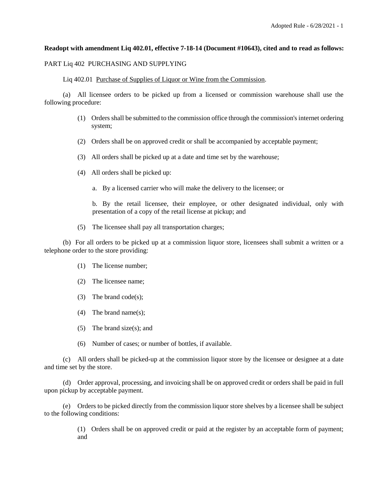## **Readopt with amendment Liq 402.01, effective 7-18-14 (Document #10643), cited and to read as follows:**

#### PART Liq 402 PURCHASING AND SUPPLYING

Liq 402.01 Purchase of Supplies of Liquor or Wine from the Commission.

(a) All licensee orders to be picked up from a licensed or commission warehouse shall use the following procedure:

- (1) Orders shall be submitted to the commission office through the commission's internet ordering system;
- (2) Orders shall be on approved credit or shall be accompanied by acceptable payment;
- (3) All orders shall be picked up at a date and time set by the warehouse;
- (4) All orders shall be picked up:
	- a. By a licensed carrier who will make the delivery to the licensee; or

b. By the retail licensee, their employee, or other designated individual, only with presentation of a copy of the retail license at pickup; and

(5) The licensee shall pay all transportation charges;

(b) For all orders to be picked up at a commission liquor store, licensees shall submit a written or a telephone order to the store providing:

- (1) The license number;
- (2) The licensee name;
- (3) The brand code(s);
- (4) The brand name(s);
- (5) The brand size(s); and
- (6) Number of cases; or number of bottles, if available.

(c) All orders shall be picked-up at the commission liquor store by the licensee or designee at a date and time set by the store.

(d) Order approval, processing, and invoicing shall be on approved credit or orders shall be paid in full upon pickup by acceptable payment.

(e) Orders to be picked directly from the commission liquor store shelves by a licensee shall be subject to the following conditions:

> (1) Orders shall be on approved credit or paid at the register by an acceptable form of payment; and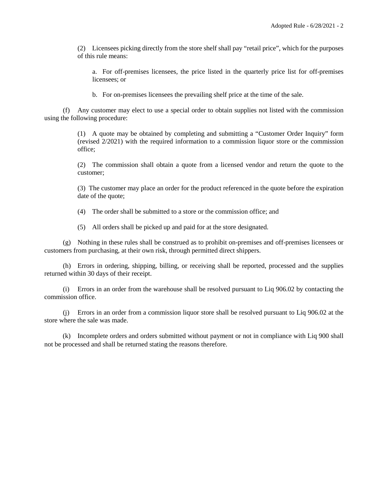(2) Licensees picking directly from the store shelf shall pay "retail price", which for the purposes of this rule means:

a. For off-premises licensees, the price listed in the quarterly price list for off-premises licensees; or

b. For on-premises licensees the prevailing shelf price at the time of the sale.

(f) Any customer may elect to use a special order to obtain supplies not listed with the commission using the following procedure:

> (1) A quote may be obtained by completing and submitting a "Customer Order Inquiry" form (revised 2/2021) with the required information to a commission liquor store or the commission office;

> (2) The commission shall obtain a quote from a licensed vendor and return the quote to the customer;

> (3) The customer may place an order for the product referenced in the quote before the expiration date of the quote;

(4) The order shall be submitted to a store or the commission office; and

(5) All orders shall be picked up and paid for at the store designated.

(g) Nothing in these rules shall be construed as to prohibit on-premises and off-premises licensees or customers from purchasing, at their own risk, through permitted direct shippers.

(h) Errors in ordering, shipping, billing, or receiving shall be reported, processed and the supplies returned within 30 days of their receipt.

(i) Errors in an order from the warehouse shall be resolved pursuant to Liq 906.02 by contacting the commission office.

(j) Errors in an order from a commission liquor store shall be resolved pursuant to Liq 906.02 at the store where the sale was made.

(k) Incomplete orders and orders submitted without payment or not in compliance with Liq 900 shall not be processed and shall be returned stating the reasons therefore.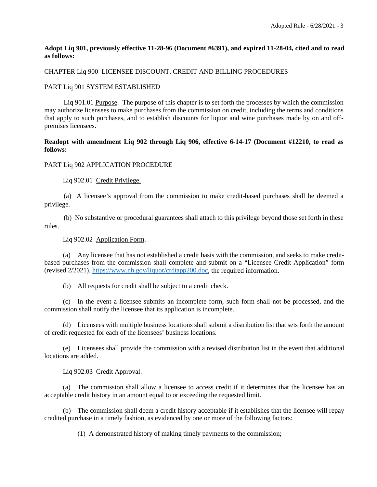## **Adopt Liq 901, previously effective 11-28-96 (Document #6391), and expired 11-28-04, cited and to read as follows:**

# CHAPTER Liq 900 LICENSEE DISCOUNT, CREDIT AND BILLING PROCEDURES

## PART Liq 901 SYSTEM ESTABLISHED

Liq 901.01 Purpose. The purpose of this chapter is to set forth the processes by which the commission may authorize licensees to make purchases from the commission on credit, including the terms and conditions that apply to such purchases, and to establish discounts for liquor and wine purchases made by on and offpremises licensees.

# **Readopt with amendment Liq 902 through Liq 906, effective 6-14-17 (Document #12210, to read as follows:**

## PART Liq 902 APPLICATION PROCEDURE

Liq 902.01 Credit Privilege.

(a) A licensee's approval from the commission to make credit-based purchases shall be deemed a privilege.

(b) No substantive or procedural guarantees shall attach to this privilege beyond those set forth in these rules.

## Liq 902.02 Application Form.

(a) Any licensee that has not established a credit basis with the commission, and seeks to make creditbased purchases from the commission shall complete and submit on a "Licensee Credit Application" form (revised 2/2021), [https://www.nh.gov/liquor/crdtapp200.doc,](https://www.nh.gov/liquor/crdtapp200.doc) the required information.

(b) All requests for credit shall be subject to a credit check.

(c) In the event a licensee submits an incomplete form, such form shall not be processed, and the commission shall notify the licensee that its application is incomplete.

(d) Licensees with multiple business locations shall submit a distribution list that sets forth the amount of credit requested for each of the licensees' business locations.

(e) Licensees shall provide the commission with a revised distribution list in the event that additional locations are added.

Liq 902.03 Credit Approval.

(a) The commission shall allow a licensee to access credit if it determines that the licensee has an acceptable credit history in an amount equal to or exceeding the requested limit.

(b) The commission shall deem a credit history acceptable if it establishes that the licensee will repay credited purchase in a timely fashion, as evidenced by one or more of the following factors:

(1) A demonstrated history of making timely payments to the commission;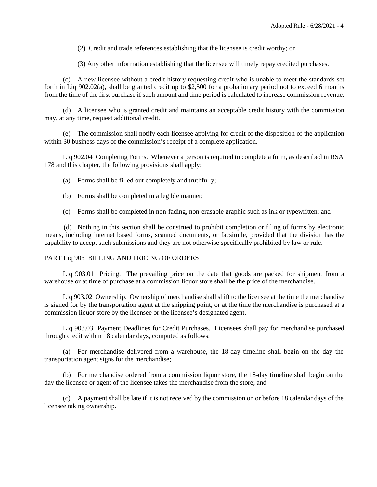(2) Credit and trade references establishing that the licensee is credit worthy; or

(3) Any other information establishing that the licensee will timely repay credited purchases.

(c) A new licensee without a credit history requesting credit who is unable to meet the standards set forth in Liq 902.02(a), shall be granted credit up to \$2,500 for a probationary period not to exceed 6 months from the time of the first purchase if such amount and time period is calculated to increase commission revenue.

(d) A licensee who is granted credit and maintains an acceptable credit history with the commission may, at any time, request additional credit.

(e) The commission shall notify each licensee applying for credit of the disposition of the application within 30 business days of the commission's receipt of a complete application.

Liq 902.04 Completing Forms. Whenever a person is required to complete a form, as described in RSA 178 and this chapter, the following provisions shall apply:

(a) Forms shall be filled out completely and truthfully;

- (b) Forms shall be completed in a legible manner;
- (c) Forms shall be completed in non-fading, non-erasable graphic such as ink or typewritten; and

(d) Nothing in this section shall be construed to prohibit completion or filing of forms by electronic means, including internet based forms, scanned documents, or facsimile, provided that the division has the capability to accept such submissions and they are not otherwise specifically prohibited by law or rule.

#### PART Liq 903 BILLING AND PRICING OF ORDERS

Liq 903.01 Pricing. The prevailing price on the date that goods are packed for shipment from a warehouse or at time of purchase at a commission liquor store shall be the price of the merchandise.

Liq 903.02 Ownership. Ownership of merchandise shall shift to the licensee at the time the merchandise is signed for by the transportation agent at the shipping point, or at the time the merchandise is purchased at a commission liquor store by the licensee or the licensee's designated agent.

Liq 903.03 Payment Deadlines for Credit Purchases. Licensees shall pay for merchandise purchased through credit within 18 calendar days, computed as follows:

(a) For merchandise delivered from a warehouse, the 18-day timeline shall begin on the day the transportation agent signs for the merchandise;

(b) For merchandise ordered from a commission liquor store, the 18-day timeline shall begin on the day the licensee or agent of the licensee takes the merchandise from the store; and

(c) A payment shall be late if it is not received by the commission on or before 18 calendar days of the licensee taking ownership.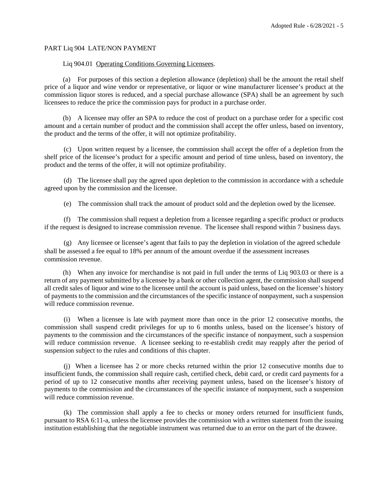# PART Liq 904 LATE/NON PAYMENT

#### Liq 904.01 Operating Conditions Governing Licensees.

(a) For purposes of this section a depletion allowance (depletion) shall be the amount the retail shelf price of a liquor and wine vendor or representative, or liquor or wine manufacturer licensee's product at the commission liquor stores is reduced, and a special purchase allowance (SPA) shall be an agreement by such licensees to reduce the price the commission pays for product in a purchase order.

(b) A licensee may offer an SPA to reduce the cost of product on a purchase order for a specific cost amount and a certain number of product and the commission shall accept the offer unless, based on inventory, the product and the terms of the offer, it will not optimize profitability.

(c) Upon written request by a licensee, the commission shall accept the offer of a depletion from the shelf price of the licensee's product for a specific amount and period of time unless, based on inventory, the product and the terms of the offer, it will not optimize profitability.

(d) The licensee shall pay the agreed upon depletion to the commission in accordance with a schedule agreed upon by the commission and the licensee.

(e) The commission shall track the amount of product sold and the depletion owed by the licensee.

(f) The commission shall request a depletion from a licensee regarding a specific product or products if the request is designed to increase commission revenue. The licensee shall respond within 7 business days.

(g) Any licensee or licensee's agent that fails to pay the depletion in violation of the agreed schedule shall be assessed a fee equal to 18% per annum of the amount overdue if the assessment increases commission revenue.

(h) When any invoice for merchandise is not paid in full under the terms of Liq 903.03 or there is a return of any payment submitted by a licensee by a bank or other collection agent, the commission shall suspend all credit sales of liquor and wine to the licensee until the account is paid unless, based on the licensee's history of payments to the commission and the circumstances of the specific instance of nonpayment, such a suspension will reduce commission revenue.

(i) When a licensee is late with payment more than once in the prior 12 consecutive months, the commission shall suspend credit privileges for up to 6 months unless, based on the licensee's history of payments to the commission and the circumstances of the specific instance of nonpayment, such a suspension will reduce commission revenue. A licensee seeking to re-establish credit may reapply after the period of suspension subject to the rules and conditions of this chapter.

(j) When a licensee has 2 or more checks returned within the prior 12 consecutive months due to insufficient funds, the commission shall require cash, certified check, debit card, or credit card payments for a period of up to 12 consecutive months after receiving payment unless, based on the licensee's history of payments to the commission and the circumstances of the specific instance of nonpayment, such a suspension will reduce commission revenue.

(k) The commission shall apply a fee to checks or money orders returned for insufficient funds, pursuant to RSA 6:11-a, unless the licensee provides the commission with a written statement from the issuing institution establishing that the negotiable instrument was returned due to an error on the part of the drawee.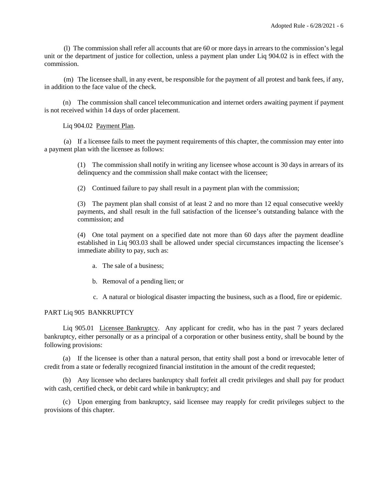(l) The commission shall refer all accounts that are 60 or more days in arrears to the commission's legal unit or the department of justice for collection, unless a payment plan under Liq 904.02 is in effect with the commission.

(m) The licensee shall, in any event, be responsible for the payment of all protest and bank fees, if any, in addition to the face value of the check.

(n) The commission shall cancel telecommunication and internet orders awaiting payment if payment is not received within 14 days of order placement.

Liq 904.02 Payment Plan.

(a) If a licensee fails to meet the payment requirements of this chapter, the commission may enter into a payment plan with the licensee as follows:

> (1) The commission shall notify in writing any licensee whose account is 30 days in arrears of its delinquency and the commission shall make contact with the licensee;

(2) Continued failure to pay shall result in a payment plan with the commission;

(3) The payment plan shall consist of at least 2 and no more than 12 equal consecutive weekly payments, and shall result in the full satisfaction of the licensee's outstanding balance with the commission; and

(4) One total payment on a specified date not more than 60 days after the payment deadline established in Liq 903.03 shall be allowed under special circumstances impacting the licensee's immediate ability to pay, such as:

- a. The sale of a business;
- b. Removal of a pending lien; or
- c. A natural or biological disaster impacting the business, such as a flood, fire or epidemic.

# PART Liq 905 BANKRUPTCY

Liq 905.01 Licensee Bankruptcy. Any applicant for credit, who has in the past 7 years declared bankruptcy, either personally or as a principal of a corporation or other business entity, shall be bound by the following provisions:

(a) If the licensee is other than a natural person, that entity shall post a bond or irrevocable letter of credit from a state or federally recognized financial institution in the amount of the credit requested;

(b) Any licensee who declares bankruptcy shall forfeit all credit privileges and shall pay for product with cash, certified check, or debit card while in bankruptcy; and

(c) Upon emerging from bankruptcy, said licensee may reapply for credit privileges subject to the provisions of this chapter.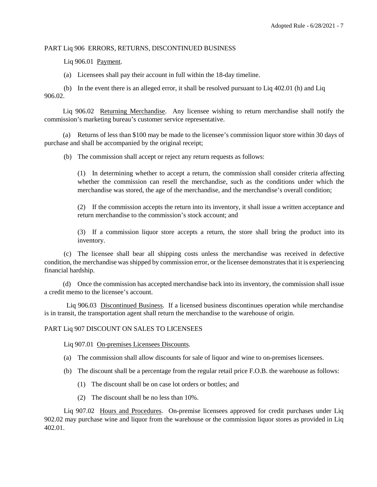# PART Liq 906 ERRORS, RETURNS, DISCONTINUED BUSINESS

Liq 906.01 Payment.

(a) Licensees shall pay their account in full within the 18-day timeline.

(b) In the event there is an alleged error, it shall be resolved pursuant to Liq 402.01 (h) and Liq 906.02.

Liq 906.02 Returning Merchandise. Any licensee wishing to return merchandise shall notify the commission's marketing bureau's customer service representative.

(a) Returns of less than \$100 may be made to the licensee's commission liquor store within 30 days of purchase and shall be accompanied by the original receipt;

(b) The commission shall accept or reject any return requests as follows:

(1) In determining whether to accept a return, the commission shall consider criteria affecting whether the commission can resell the merchandise, such as the conditions under which the merchandise was stored, the age of the merchandise, and the merchandise's overall condition;

(2) If the commission accepts the return into its inventory, it shall issue a written acceptance and return merchandise to the commission's stock account; and

(3) If a commission liquor store accepts a return, the store shall bring the product into its inventory.

(c) The licensee shall bear all shipping costs unless the merchandise was received in defective condition, the merchandise was shipped by commission error, or the licensee demonstrates that it is experiencing financial hardship.

(d) Once the commission has accepted merchandise back into its inventory, the commission shall issue a credit memo to the licensee's account.

Liq 906.03 Discontinued Business. If a licensed business discontinues operation while merchandise is in transit, the transportation agent shall return the merchandise to the warehouse of origin.

# PART Liq 907 DISCOUNT ON SALES TO LICENSEES

Liq 907.01 On-premises Licensees Discounts.

- (a) The commission shall allow discounts for sale of liquor and wine to on-premises licensees.
- (b) The discount shall be a percentage from the regular retail price F.O.B. the warehouse as follows:
	- (1) The discount shall be on case lot orders or bottles; and
	- (2) The discount shall be no less than 10%.

Liq 907.02 Hours and Procedures. On-premise licensees approved for credit purchases under Liq 902.02 may purchase wine and liquor from the warehouse or the commission liquor stores as provided in Liq 402.01.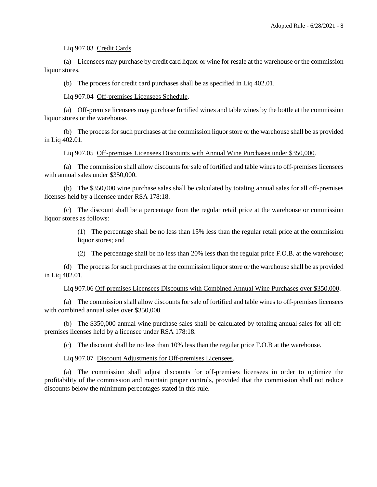Liq 907.03 Credit Cards.

(a) Licensees may purchase by credit card liquor or wine for resale at the warehouse or the commission liquor stores.

(b) The process for credit card purchases shall be as specified in Liq 402.01.

Liq 907.04 Off-premises Licensees Schedule.

(a) Off-premise licensees may purchase fortified wines and table wines by the bottle at the commission liquor stores or the warehouse.

(b) The process for such purchases at the commission liquor store or the warehouse shall be as provided in Liq 402.01.

Liq 907.05 Off-premises Licensees Discounts with Annual Wine Purchases under \$350,000.

(a) The commission shall allow discounts for sale of fortified and table wines to off-premises licensees with annual sales under \$350,000.

(b) The \$350,000 wine purchase sales shall be calculated by totaling annual sales for all off-premises licenses held by a licensee under RSA 178:18.

(c) The discount shall be a percentage from the regular retail price at the warehouse or commission liquor stores as follows:

> (1) The percentage shall be no less than 15% less than the regular retail price at the commission liquor stores; and

> (2) The percentage shall be no less than 20% less than the regular price F.O.B. at the warehouse;

(d) The process for such purchases at the commission liquor store or the warehouse shall be as provided in Liq 402.01.

Liq 907.06 Off-premises Licensees Discounts with Combined Annual Wine Purchases over \$350,000.

(a) The commission shall allow discounts for sale of fortified and table wines to off-premises licensees with combined annual sales over \$350,000.

(b) The \$350,000 annual wine purchase sales shall be calculated by totaling annual sales for all offpremises licenses held by a licensee under RSA 178:18.

(c) The discount shall be no less than 10% less than the regular price F.O.B at the warehouse.

Liq 907.07 Discount Adjustments for Off-premises Licensees.

(a) The commission shall adjust discounts for off-premises licensees in order to optimize the profitability of the commission and maintain proper controls, provided that the commission shall not reduce discounts below the minimum percentages stated in this rule.